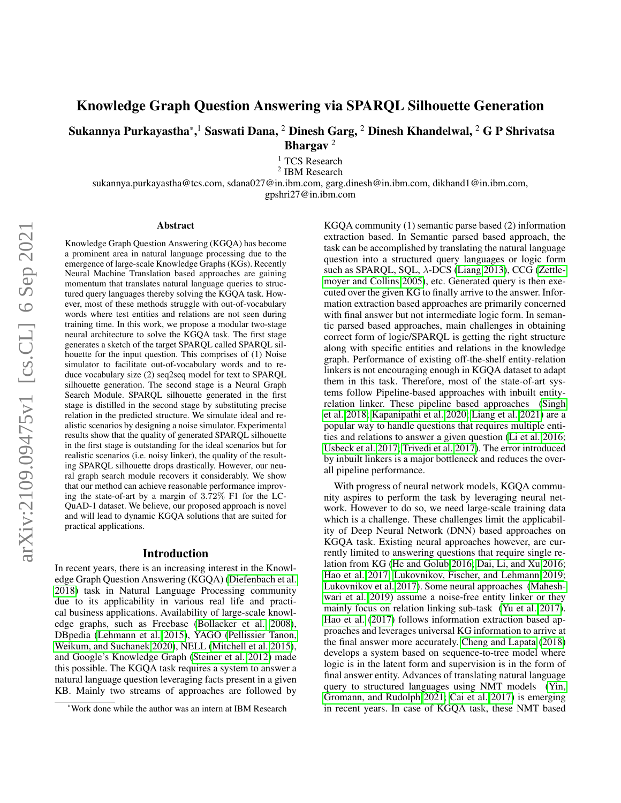# Knowledge Graph Question Answering via SPARQL Silhouette Generation

Sukannya Purkayastha $^{\ast},^{\rm l}$  Saswati Dana,  $^{\rm 2}$  Dinesh Garg,  $^{\rm 2}$  Dinesh Khandelwal,  $^{\rm 2}$  G P Shrivatsa Bhargav<sup>2</sup>

<sup>1</sup> TCS Research

2 IBM Research

sukannya.purkayastha@tcs.com, sdana027@in.ibm.com, garg.dinesh@in.ibm.com, dikhand1@in.ibm.com,

gpshri27@in.ibm.com

#### Abstract

Knowledge Graph Question Answering (KGQA) has become a prominent area in natural language processing due to the emergence of large-scale Knowledge Graphs (KGs). Recently Neural Machine Translation based approaches are gaining momentum that translates natural language queries to structured query languages thereby solving the KGQA task. However, most of these methods struggle with out-of-vocabulary words where test entities and relations are not seen during training time. In this work, we propose a modular two-stage neural architecture to solve the KGQA task. The first stage generates a sketch of the target SPARQL called SPARQL silhouette for the input question. This comprises of (1) Noise simulator to facilitate out-of-vocabulary words and to reduce vocabulary size (2) seq2seq model for text to SPARQL silhouette generation. The second stage is a Neural Graph Search Module. SPARQL silhouette generated in the first stage is distilled in the second stage by substituting precise relation in the predicted structure. We simulate ideal and realistic scenarios by designing a noise simulator. Experimental results show that the quality of generated SPARQL silhouette in the first stage is outstanding for the ideal scenarios but for realistic scenarios (i.e. noisy linker), the quality of the resulting SPARQL silhouette drops drastically. However, our neural graph search module recovers it considerably. We show that our method can achieve reasonable performance improving the state-of-art by a margin of 3.72% F1 for the LC-QuAD-1 dataset. We believe, our proposed approach is novel and will lead to dynamic KGQA solutions that are suited for practical applications.

#### Introduction

In recent years, there is an increasing interest in the Knowledge Graph Question Answering (KGQA) [\(Diefenbach et al.](#page-7-0) [2018\)](#page-7-0) task in Natural Language Processing community due to its applicability in various real life and practical business applications. Availability of large-scale knowledge graphs, such as Freebase [\(Bollacker et al. 2008\)](#page-7-1), DBpedia [\(Lehmann et al. 2015\)](#page-7-2), YAGO [\(Pellissier Tanon,](#page-8-0) [Weikum, and Suchanek 2020\)](#page-8-0), NELL [\(Mitchell et al. 2015\)](#page-8-1), and Google's Knowledge Graph [\(Steiner et al. 2012\)](#page-8-2) made this possible. The KGQA task requires a system to answer a natural language question leveraging facts present in a given KB. Mainly two streams of approaches are followed by KGQA community (1) semantic parse based (2) information extraction based. In Semantic parsed based approach, the task can be accomplished by translating the natural language question into a structured query languages or logic form such as SPAROL, SOL,  $\lambda$ -DCS [\(Liang 2013\)](#page-7-3), CCG [\(Zettle](#page-8-3)[moyer and Collins 2005\)](#page-8-3), etc. Generated query is then executed over the given KG to finally arrive to the answer. Information extraction based approaches are primarily concerned with final answer but not intermediate logic form. In semantic parsed based approaches, main challenges in obtaining correct form of logic/SPARQL is getting the right structure along with specific entities and relations in the knowledge graph. Performance of existing off-the-shelf entity-relation linkers is not encouraging enough in KGQA dataset to adapt them in this task. Therefore, most of the state-of-art systems follow Pipeline-based approaches with inbuilt entityrelation linker. These pipeline based approaches [\(Singh](#page-8-4) [et al. 2018;](#page-8-4) [Kapanipathi et al. 2020;](#page-7-4) [Liang et al. 2021\)](#page-7-5) are a popular way to handle questions that requires multiple entities and relations to answer a given question [\(Li et al. 2016;](#page-7-6) [Usbeck et al. 2017;](#page-8-5) [Trivedi et al. 2017\)](#page-8-6). The error introduced by inbuilt linkers is a major bottleneck and reduces the overall pipeline performance.

With progress of neural network models, KGQA community aspires to perform the task by leveraging neural network. However to do so, we need large-scale training data which is a challenge. These challenges limit the applicability of Deep Neural Network (DNN) based approaches on KGQA task. Existing neural approaches however, are currently limited to answering questions that require single relation from KG [\(He and Golub 2016;](#page-7-7) [Dai, Li, and Xu 2016;](#page-7-8) [Hao et al. 2017;](#page-7-9) [Lukovnikov, Fischer, and Lehmann 2019;](#page-8-7) [Lukovnikov et al. 2017\)](#page-8-8). Some neural approaches [\(Mahesh](#page-8-9)[wari et al. 2019\)](#page-8-9) assume a noise-free entity linker or they mainly focus on relation linking sub-task [\(Yu et al. 2017\)](#page-8-10). [Hao et al.](#page-7-9) [\(2017\)](#page-7-9) follows information extraction based approaches and leverages universal KG information to arrive at the final answer more accurately. [Cheng and Lapata](#page-7-10) [\(2018\)](#page-7-10) develops a system based on sequence-to-tree model where logic is in the latent form and supervision is in the form of final answer entity. Advances of translating natural language query to structured languages using NMT models [\(Yin,](#page-8-11) [Gromann, and Rudolph 2021;](#page-8-11) [Cai et al. 2017\)](#page-7-11) is emerging in recent years. In case of KGQA task, these NMT based

<sup>\*</sup>Work done while the author was an intern at IBM Research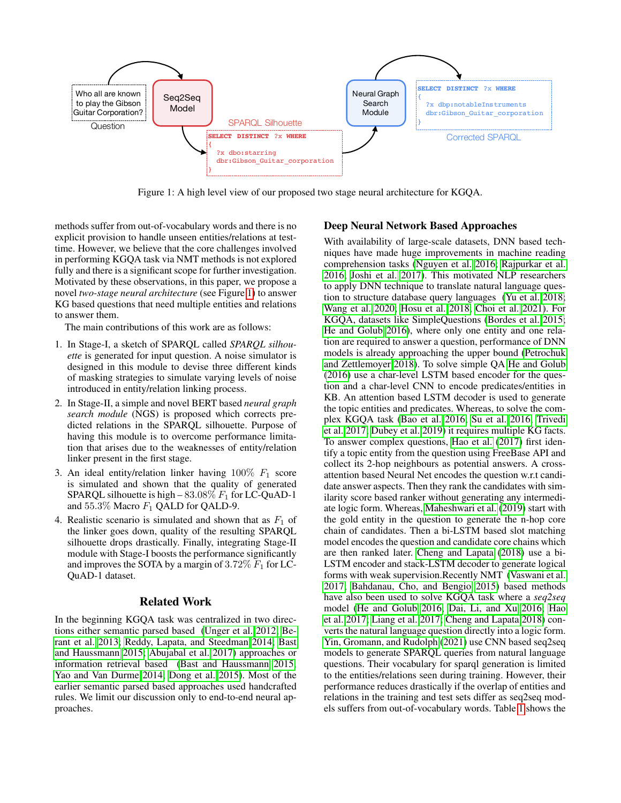<span id="page-1-0"></span>

Figure 1: A high level view of our proposed two stage neural architecture for KGQA.

methods suffer from out-of-vocabulary words and there is no explicit provision to handle unseen entities/relations at testtime. However, we believe that the core challenges involved in performing KGQA task via NMT methods is not explored fully and there is a significant scope for further investigation. Motivated by these observations, in this paper, we propose a novel *two-stage neural architecture* (see Figure [1\)](#page-1-0) to answer KG based questions that need multiple entities and relations to answer them.

The main contributions of this work are as follows:

- 1. In Stage-I, a sketch of SPARQL called *SPARQL silhouette* is generated for input question. A noise simulator is designed in this module to devise three different kinds of masking strategies to simulate varying levels of noise introduced in entity/relation linking process.
- 2. In Stage-II, a simple and novel BERT based *neural graph search module* (NGS) is proposed which corrects predicted relations in the SPARQL silhouette. Purpose of having this module is to overcome performance limitation that arises due to the weaknesses of entity/relation linker present in the first stage.
- 3. An ideal entity/relation linker having  $100\%$   $F_1$  score is simulated and shown that the quality of generated SPARQL silhouette is high  $-83.08\%$   $F_1$  for LC-QuAD-1 and  $55.3\%$  Macro  $F_1$  QALD for QALD-9.
- 4. Realistic scenario is simulated and shown that as  $F_1$  of the linker goes down, quality of the resulting SPARQL silhouette drops drastically. Finally, integrating Stage-II module with Stage-I boosts the performance significantly and improves the SOTA by a margin of  $3.72\%$   $F_1$  for LC-QuAD-1 dataset.

# Related Work

In the beginning KGQA task was centralized in two directions either semantic parsed based [\(Unger et al. 2012;](#page-8-12) [Be](#page-7-12)[rant et al. 2013;](#page-7-12) [Reddy, Lapata, and Steedman 2014;](#page-8-13) [Bast](#page-7-13) [and Haussmann 2015;](#page-7-13) [Abujabal et al. 2017\)](#page-7-14) approaches or information retrieval based [\(Bast and Haussmann 2015;](#page-7-13) [Yao and Van Durme 2014;](#page-8-14) [Dong et al. 2015\)](#page-7-15). Most of the earlier semantic parsed based approaches used handcrafted rules. We limit our discussion only to end-to-end neural approaches.

# Deep Neural Network Based Approaches

With availability of large-scale datasets, DNN based techniques have made huge improvements in machine reading comprehension tasks [\(Nguyen et al. 2016;](#page-8-15) [Rajpurkar et al.](#page-8-16) [2016;](#page-8-16) [Joshi et al. 2017\)](#page-7-16). This motivated NLP researchers to apply DNN technique to translate natural language question to structure database query languages [\(Yu et al. 2018;](#page-8-17) [Wang et al. 2020;](#page-8-18) [Hosu et al. 2018;](#page-7-17) [Choi et al. 2021\)](#page-7-18). For KGQA, datasets like SimpleQuestions [\(Bordes et al. 2015;](#page-7-19) [He and Golub 2016\)](#page-7-7), where only one entity and one relation are required to answer a question, performance of DNN models is already approaching the upper bound [\(Petrochuk](#page-8-19) [and Zettlemoyer 2018\)](#page-8-19). To solve simple QA [He and Golub](#page-7-7) [\(2016\)](#page-7-7) use a char-level LSTM based encoder for the question and a char-level CNN to encode predicates/entities in KB. An attention based LSTM decoder is used to generate the topic entities and predicates. Whereas, to solve the complex KGQA task [\(Bao et al. 2016;](#page-7-20) [Su et al. 2016;](#page-8-20) [Trivedi](#page-8-6) [et al. 2017;](#page-8-6) [Dubey et al. 2019\)](#page-7-21) it requires multiple KG facts. To answer complex questions, [Hao et al.](#page-7-9) [\(2017\)](#page-7-9) first identify a topic entity from the question using FreeBase API and collect its 2-hop neighbours as potential answers. A crossattention based Neural Net encodes the question w.r.t candidate answer aspects. Then they rank the candidates with similarity score based ranker without generating any intermediate logic form. Whereas, [Maheshwari et al.](#page-8-9) [\(2019\)](#page-8-9) start with the gold entity in the question to generate the n-hop core chain of candidates. Then a bi-LSTM based slot matching model encodes the question and candidate core chains which are then ranked later. [Cheng and Lapata](#page-7-10) [\(2018\)](#page-7-10) use a bi-LSTM encoder and stack-LSTM decoder to generate logical forms with weak supervision.Recently NMT [\(Vaswani et al.](#page-8-21) [2017;](#page-8-21) [Bahdanau, Cho, and Bengio 2015\)](#page-7-22) based methods have also been used to solve KGQA task where a *seq2seq* model [\(He and Golub 2016;](#page-7-7) [Dai, Li, and Xu 2016;](#page-7-8) [Hao](#page-7-9) [et al. 2017;](#page-7-9) [Liang et al. 2017;](#page-7-23) [Cheng and Lapata 2018\)](#page-7-10) converts the natural language question directly into a logic form. [Yin, Gromann, and Rudolph](#page-8-11) [\(2021\)](#page-8-11) use CNN based seq2seq models to generate SPARQL queries from natural language questions. Their vocabulary for sparql generation is limited to the entities/relations seen during training. However, their performance reduces drastically if the overlap of entities and relations in the training and test sets differ as seq2seq models suffers from out-of-vocabulary words. Table [1](#page-2-0) shows the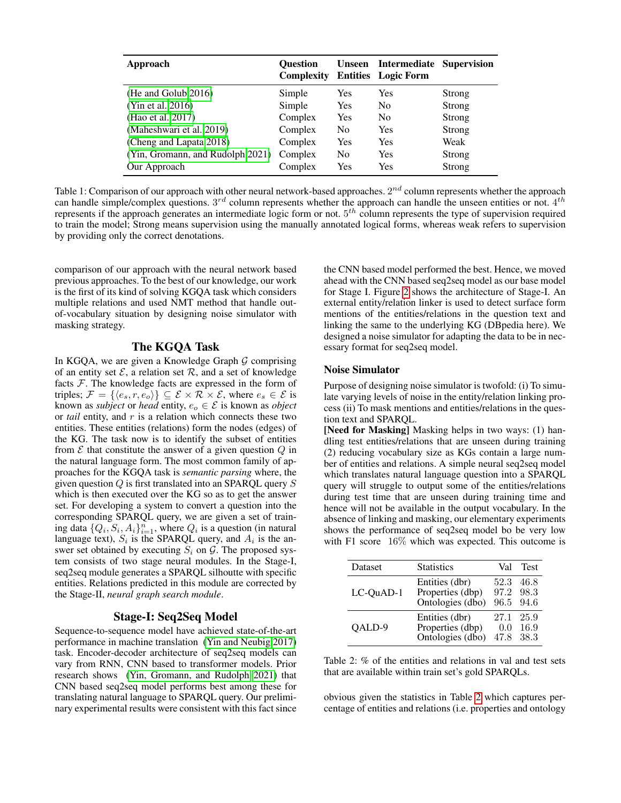<span id="page-2-0"></span>

| Approach                         | <b>Ouestion</b><br><b>Complexity</b> | <b>Unseen</b>  | <b>Intermediate Supervision</b><br><b>Entities</b> Logic Form |        |
|----------------------------------|--------------------------------------|----------------|---------------------------------------------------------------|--------|
| (He and Golub 2016)              | Simple                               | Yes            | Yes                                                           | Strong |
| (Yin et al. 2016)                | Simple                               | Yes            | No.                                                           | Strong |
| (Hao et al. 2017)                | Complex                              | <b>Yes</b>     | N <sub>0</sub>                                                | Strong |
| (Maheshwari et al. 2019)         | Complex                              | N <sub>0</sub> | Yes                                                           | Strong |
| (Cheng and Lapata 2018)          | Complex                              | Yes            | Yes                                                           | Weak   |
| (Yin, Gromann, and Rudolph 2021) | Complex                              | N <sub>0</sub> | Yes                                                           | Strong |
| Our Approach                     | Complex                              | Yes            | Yes                                                           | Strong |

Table 1: Comparison of our approach with other neural network-based approaches.  $2^{nd}$  column represents whether the approach can handle simple/complex questions.  $3^{rd}$  column represents whether the approach can handle the unseen entities or not.  $4^{th}$ represents if the approach generates an intermediate logic form or not.  $5<sup>th</sup>$  column represents the type of supervision required to train the model; Strong means supervision using the manually annotated logical forms, whereas weak refers to supervision by providing only the correct denotations.

comparison of our approach with the neural network based previous approaches. To the best of our knowledge, our work is the first of its kind of solving KGQA task which considers multiple relations and used NMT method that handle outof-vocabulary situation by designing noise simulator with masking strategy.

### The KGQA Task

In KGOA, we are given a Knowledge Graph  $\mathcal G$  comprising of an entity set  $\mathcal{E}$ , a relation set  $\mathcal{R}$ , and a set of knowledge facts  $F$ . The knowledge facts are expressed in the form of triples;  $\mathcal{F} = \{ \langle e_s, r, e_o \rangle \} \subseteq \mathcal{E} \times \mathcal{R} \times \mathcal{E}$ , where  $e_s \in \mathcal{E}$  is known as *subject* or *head* entity,  $e_o \in \mathcal{E}$  is known as *object* or *tail* entity, and r is a relation which connects these two entities. These entities (relations) form the nodes (edges) of the KG. The task now is to identify the subset of entities from  $\mathcal E$  that constitute the answer of a given question  $Q$  in the natural language form. The most common family of approaches for the KGQA task is *semantic parsing* where, the given question  $Q$  is first translated into an SPARQL query  $S$ which is then executed over the KG so as to get the answer set. For developing a system to convert a question into the corresponding SPARQL query, we are given a set of training data  $\{Q_i, S_i, A_i\}_{i=1}^n$ , where  $Q_i$  is a question (in natural language text),  $S_i$  is the SPARQL query, and  $A_i$  is the answer set obtained by executing  $S_i$  on  $G$ . The proposed system consists of two stage neural modules. In the Stage-I, seq2seq module generates a SPARQL silhoutte with specific entities. Relations predicted in this module are corrected by the Stage-II, *neural graph search module*.

# Stage-I: Seq2Seq Model

Sequence-to-sequence model have achieved state-of-the-art performance in machine translation [\(Yin and Neubig 2017\)](#page-8-23) task. Encoder-decoder architecture of seq2seq models can vary from RNN, CNN based to transformer models. Prior research shows [\(Yin, Gromann, and Rudolph 2021\)](#page-8-11) that CNN based seq2seq model performs best among these for translating natural language to SPARQL query. Our preliminary experimental results were consistent with this fact since

the CNN based model performed the best. Hence, we moved ahead with the CNN based seq2seq model as our base model for Stage I. Figure [2](#page-3-0) shows the architecture of Stage-I. An external entity/relation linker is used to detect surface form mentions of the entities/relations in the question text and linking the same to the underlying KG (DBpedia here). We designed a noise simulator for adapting the data to be in necessary format for seq2seq model.

# Noise Simulator

Purpose of designing noise simulator is twofold: (i) To simulate varying levels of noise in the entity/relation linking process (ii) To mask mentions and entities/relations in the question text and SPARQL.

[Need for Masking] Masking helps in two ways: (1) handling test entities/relations that are unseen during training (2) reducing vocabulary size as KGs contain a large number of entities and relations. A simple neural seq2seq model which translates natural language question into a SPARQL query will struggle to output some of the entities/relations during test time that are unseen during training time and hence will not be available in the output vocabulary. In the absence of linking and masking, our elementary experiments shows the performance of seq2seq model bo be very low with F1 score 16% which was expected. This outcome is

<span id="page-2-1"></span>

| <b>Dataset</b> | <b>Statistics</b> | Val  | <b>Test</b> |
|----------------|-------------------|------|-------------|
| LC-OuAD-1      | Entities (dbr)    | 52.3 | 46.8        |
|                | Properties (dbp)  | 97.2 | 98.3        |
|                | Ontologies (dbo)  | 96.5 | 94.6        |
| OALD-9         | Entities (dbr)    | 27.1 | 25.9        |
|                | Properties (dbp)  | 0.0  | 16.9        |
|                | Ontologies (dbo)  | 47.8 | 38.3        |

Table 2: % of the entities and relations in val and test sets that are available within train set's gold SPARQLs.

obvious given the statistics in Table [2](#page-2-1) which captures percentage of entities and relations (i.e. properties and ontology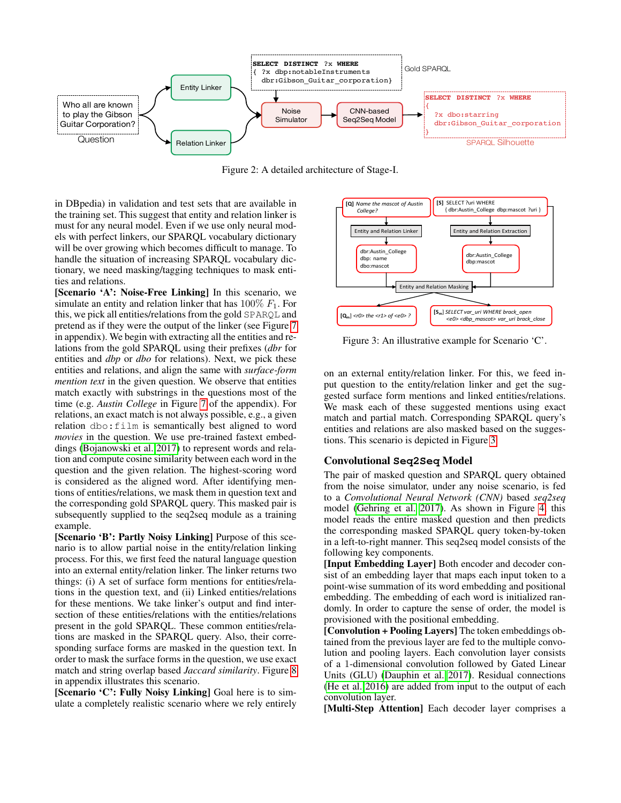<span id="page-3-0"></span>

Figure 2: A detailed architecture of Stage-I.

in DBpedia) in validation and test sets that are available in the training set. This suggest that entity and relation linker is must for any neural model. Even if we use only neural models with perfect linkers, our SPARQL vocabulary dictionary will be over growing which becomes difficult to manage. To handle the situation of increasing SPARQL vocabulary dictionary, we need masking/tagging techniques to mask entities and relations.

[Scenario 'A': Noise-Free Linking] In this scenario, we simulate an entity and relation linker that has  $100\%$   $F_1$ . For this, we pick all entities/relations from the gold SPARQL and pretend as if they were the output of the linker (see Figure [7](#page-9-0) in appendix). We begin with extracting all the entities and relations from the gold SPARQL using their prefixes (*dbr* for entities and *dbp* or *dbo* for relations). Next, we pick these entities and relations, and align the same with *surface-form mention text* in the given question. We observe that entities match exactly with substrings in the questions most of the time (e.g. *Austin College* in Figure [7](#page-9-0) of the appendix). For relations, an exact match is not always possible, e.g., a given relation dbo:film is semantically best aligned to word *movies* in the question. We use pre-trained fastext embeddings [\(Bojanowski et al. 2017\)](#page-7-24) to represent words and relation and compute cosine similarity between each word in the question and the given relation. The highest-scoring word is considered as the aligned word. After identifying mentions of entities/relations, we mask them in question text and the corresponding gold SPARQL query. This masked pair is subsequently supplied to the seq2seq module as a training example.

[Scenario 'B': Partly Noisy Linking] Purpose of this scenario is to allow partial noise in the entity/relation linking process. For this, we first feed the natural language question into an external entity/relation linker. The linker returns two things: (i) A set of surface form mentions for entities/relations in the question text, and (ii) Linked entities/relations for these mentions. We take linker's output and find intersection of these entities/relations with the entities/relations present in the gold SPARQL. These common entities/relations are masked in the SPARQL query. Also, their corresponding surface forms are masked in the question text. In order to mask the surface forms in the question, we use exact match and string overlap based *Jaccard similarity*. Figure [8](#page-9-1) in appendix illustrates this scenario.

[Scenario 'C': Fully Noisy Linking] Goal here is to simulate a completely realistic scenario where we rely entirely

<span id="page-3-1"></span>

Figure 3: An illustrative example for Scenario 'C'.

on an external entity/relation linker. For this, we feed input question to the entity/relation linker and get the suggested surface form mentions and linked entities/relations. We mask each of these suggested mentions using exact match and partial match. Corresponding SPARQL query's entities and relations are also masked based on the suggestions. This scenario is depicted in Figure [3.](#page-3-1)

# Convolutional **Seq2Seq** Model

The pair of masked question and SPARQL query obtained from the noise simulator, under any noise scenario, is fed to a *Convolutional Neural Network (CNN)* based *seq2seq* model [\(Gehring et al. 2017\)](#page-7-25). As shown in Figure [4,](#page-4-0) this model reads the entire masked question and then predicts the corresponding masked SPARQL query token-by-token in a left-to-right manner. This seq2seq model consists of the following key components.

[Input Embedding Layer] Both encoder and decoder consist of an embedding layer that maps each input token to a point-wise summation of its word embedding and positional embedding. The embedding of each word is initialized randomly. In order to capture the sense of order, the model is provisioned with the positional embedding.

[Convolution + Pooling Layers] The token embeddings obtained from the previous layer are fed to the multiple convolution and pooling layers. Each convolution layer consists of a 1-dimensional convolution followed by Gated Linear Units (GLU) [\(Dauphin et al. 2017\)](#page-7-26). Residual connections [\(He et al. 2016\)](#page-7-27) are added from input to the output of each convolution layer.

[Multi-Step Attention] Each decoder layer comprises a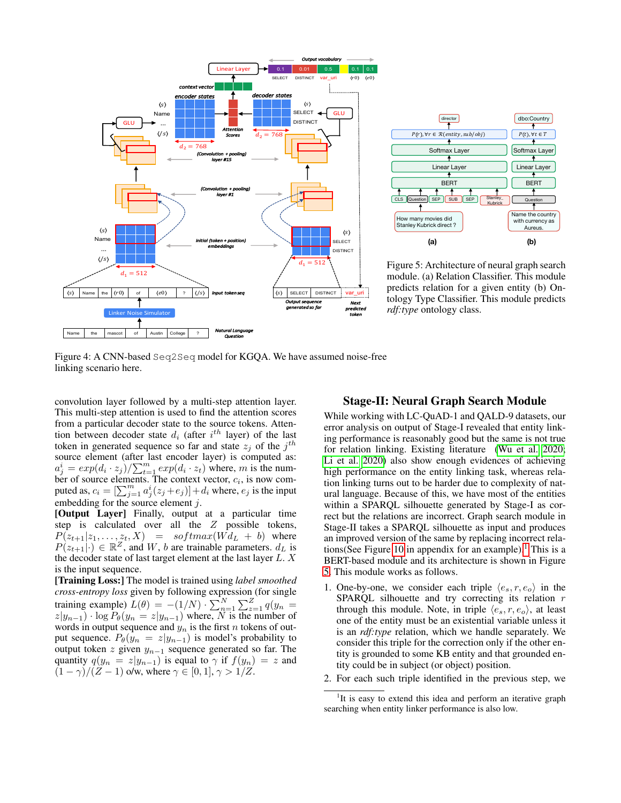<span id="page-4-0"></span>



Figure 5: Architecture of neural graph search module. (a) Relation Classifier. This module predicts relation for a given entity (b) Ontology Type Classifier. This module predicts *rdf:type* ontology class.

Figure 4: A CNN-based Seq2Seq model for KGQA. We have assumed noise-free linking scenario here.

convolution layer followed by a multi-step attention layer. This multi-step attention is used to find the attention scores from a particular decoder state to the source tokens. Attention between decoder state  $d_i$  (after  $i^{th}$  layer) of the last token in generated sequence so far and state  $z_j$  of the  $j^{th}$ source element (after last encoder layer) is computed as:  $a_j^i = exp(d_i \cdot z_j) / \sum_{t=1}^m exp(d_i \cdot z_t)$  where, m is the number of source elements. The context vector,  $c_i$ , is now computed as,  $c_i = [\sum_{j=1}^m a_j^i (z_j + e_j)] + d_i$  where,  $e_j$  is the input embedding for the source element j.

[Output Layer] Finally, output at a particular time step is calculated over all the Z possible tokens,  $P(z_{t+1}|z_1,\ldots,z_t,X) = softmax(W d_L + b)$  where  $P(z_{t+1}|\cdot) \in \mathbb{R}^Z$ , and W, b are trainable parameters.  $d_L$  is the decoder state of last target element at the last layer L. X is the input sequence.

[Training Loss:] The model is trained using *label smoothed cross-entropy loss* given by following expression (for single training example)  $L(\theta) = -(1/N) \cdot \sum_{n=1}^{N} \sum_{z=1}^{Z} q(y_n =$  $z|y_{n-1}) \cdot \log P_{\theta}(y_n = z|y_{n-1})$  where, N is the number of words in output sequence and  $y_n$  is the first n tokens of output sequence.  $P_{\theta}(y_n = z | y_{n-1})$  is model's probability to output token  $z$  given  $y_{n-1}$  sequence generated so far. The quantity  $q(y_n = z|y_{n-1})$  is equal to  $\gamma$  if  $f(y_n) = z$  and  $(1 - \gamma)/(Z - 1)$  o/w, where  $\gamma \in [0, 1], \gamma > 1/Z$ .

# Stage-II: Neural Graph Search Module

While working with LC-QuAD-1 and QALD-9 datasets, our error analysis on output of Stage-I revealed that entity linking performance is reasonably good but the same is not true for relation linking. Existing literature [\(Wu et al. 2020;](#page-8-24) [Li et al. 2020\)](#page-7-28) also show enough evidences of achieving high performance on the entity linking task, whereas relation linking turns out to be harder due to complexity of natural language. Because of this, we have most of the entities within a SPARQL silhouette generated by Stage-I as correct but the relations are incorrect. Graph search module in Stage-II takes a SPARQL silhouette as input and produces an improved version of the same by replacing incorrect rela-tions(See Figure [10](#page-10-0) in appendix for an example).<sup>[1](#page-4-1)</sup> This is a BERT-based module and its architecture is shown in Figure [5.](#page-4-0) This module works as follows.

- 1. One-by-one, we consider each triple  $\langle e_s, r, e_o \rangle$  in the  $SPARCL$  silhouette and try correcting its relation  $r$ through this module. Note, in triple  $\langle e_s, r, e_o \rangle$ , at least one of the entity must be an existential variable unless it is an *rdf:type* relation, which we handle separately. We consider this triple for the correction only if the other entity is grounded to some KB entity and that grounded entity could be in subject (or object) position.
- 2. For each such triple identified in the previous step, we

<span id="page-4-1"></span><sup>&</sup>lt;sup>1</sup>It is easy to extend this idea and perform an iterative graph searching when entity linker performance is also low.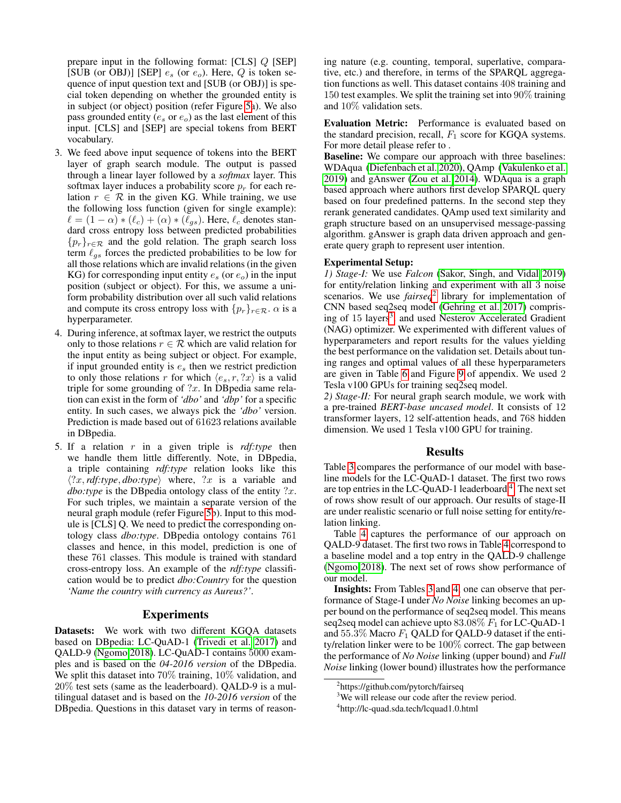prepare input in the following format: [CLS] Q [SEP] [SUB (or OBJ)] [SEP]  $e_s$  (or  $e_o$ ). Here, Q is token sequence of input question text and [SUB (or OBJ)] is special token depending on whether the grounded entity is in subject (or object) position (refer Figure [5a](#page-4-0)). We also pass grounded entity ( $e_s$  or  $e_o$ ) as the last element of this input. [CLS] and [SEP] are special tokens from BERT vocabulary.

- 3. We feed above input sequence of tokens into the BERT layer of graph search module. The output is passed through a linear layer followed by a *softmax* layer. This softmax layer induces a probability score  $p_r$  for each relation  $r \in \mathcal{R}$  in the given KG. While training, we use the following loss function (given for single example):  $\ell = (1 - \alpha) * (\ell_c) + (\alpha) * (\ell_{gs})$ . Here,  $\ell_c$  denotes standard cross entropy loss between predicted probabilities  ${p_r}_{r \in \mathcal{R}}$  and the gold relation. The graph search loss term  $\ell_{as}$  forces the predicted probabilities to be low for all those relations which are invalid relations (in the given KG) for corresponding input entity  $e_s$  (or  $e_o$ ) in the input position (subject or object). For this, we assume a uniform probability distribution over all such valid relations and compute its cross entropy loss with  $\{p_r\}_{r \in \mathcal{R}}$ .  $\alpha$  is a hyperparameter.
- 4. During inference, at softmax layer, we restrict the outputs only to those relations  $r \in \mathcal{R}$  which are valid relation for the input entity as being subject or object. For example, if input grounded entity is  $e_s$  then we restrict prediction to only those relations r for which  $\langle e_s, r, ?x \rangle$  is a valid triple for some grounding of  $?x$ . In DBpedia same relation can exist in the form of *'dbo'* and *'dbp'* for a specific entity. In such cases, we always pick the *'dbo'* version. Prediction is made based out of 61623 relations available in DBpedia.
- 5. If a relation r in a given triple is *rdf:type* then we handle them little differently. Note, in DBpedia, a triple containing *rdf:type* relation looks like this  $\langle ?x, rdf: type, dbo: type \rangle$  where,  $?x$  is a variable and *dbo:type* is the DB pedia ontology class of the entity ?x. For such triples, we maintain a separate version of the neural graph module (refer Figure [5b](#page-4-0)). Input to this module is [CLS] Q. We need to predict the corresponding ontology class *dbo:type*. DBpedia ontology contains 761 classes and hence, in this model, prediction is one of these 761 classes. This module is trained with standard cross-entropy loss. An example of the *rdf:type* classification would be to predict *dbo:Country* for the question *'Name the country with currency as Aureus?'*.

### Experiments

Datasets: We work with two different KGQA datasets based on DBpedia: LC-QuAD-1 [\(Trivedi et al. 2017\)](#page-8-6) and QALD-9 [\(Ngomo 2018\)](#page-8-25). LC-QuAD-1 contains 5000 examples and is based on the *04-2016 version* of the DBpedia. We split this dataset into 70% training, 10% validation, and 20% test sets (same as the leaderboard). QALD-9 is a multilingual dataset and is based on the *10-2016 version* of the DBpedia. Questions in this dataset vary in terms of reasoning nature (e.g. counting, temporal, superlative, comparative, etc.) and therefore, in terms of the SPARQL aggregation functions as well. This dataset contains 408 training and 150 test examples. We split the training set into 90% training and 10% validation sets.

Evaluation Metric: Performance is evaluated based on the standard precision, recall,  $F_1$  score for KGQA systems. For more detail please refer to .

Baseline: We compare our approach with three baselines: WDAqua [\(Diefenbach et al. 2020\)](#page-7-29), QAmp [\(Vakulenko et al.](#page-8-26) [2019\)](#page-8-26) and gAnswer [\(Zou et al. 2014\)](#page-8-27). WDAqua is a graph based approach where authors first develop SPARQL query based on four predefined patterns. In the second step they rerank generated candidates. QAmp used text similarity and graph structure based on an unsupervised message-passing algorithm. gAnswer is graph data driven approach and generate query graph to represent user intention.

#### Experimental Setup:

*1) Stage-I:* We use *Falcon* [\(Sakor, Singh, and Vidal 2019\)](#page-8-28) for entity/relation linking and experiment with all 3 noise scenarios. We use *fairseq*[2](#page-5-0) library for implementation of CNN based seq2seq model [\(Gehring et al. 2017\)](#page-7-25) compris-ing of 15 layers<sup>[3](#page-5-1)</sup>. and used Nesterov Accelerated Gradient (NAG) optimizer. We experimented with different values of hyperparameters and report results for the values yielding the best performance on the validation set. Details about tuning ranges and optimal values of all these hyperparameters are given in Table [6](#page-10-1) and Figure [9](#page-10-2) of appendix. We used 2 Tesla v100 GPUs for training seq2seq model.

*2) Stage-II:* For neural graph search module, we work with a pre-trained *BERT-base uncased model*. It consists of 12 transformer layers, 12 self-attention heads, and 768 hidden dimension. We used 1 Tesla v100 GPU for training.

## Results

Table [3](#page-6-0) compares the performance of our model with baseline models for the LC-QuAD-1 dataset. The first two rows are top entries in the LC-QuAD-1 leaderboard <sup>[4](#page-5-2)</sup>. The next set of rows show result of our approach. Our results of stage-II are under realistic scenario or full noise setting for entity/relation linking.

Table [4](#page-6-1) captures the performance of our approach on QALD-9 dataset. The first two rows in Table [4](#page-6-1) correspond to a baseline model and a top entry in the QALD-9 challenge [\(Ngomo 2018\)](#page-8-25). The next set of rows show performance of our model.

Insights: From Tables [3](#page-6-0) and [4,](#page-6-1) one can observe that performance of Stage-I under *No Noise* linking becomes an upper bound on the performance of seq2seq model. This means seq2seq model can achieve upto  $83.08\%$   $F_1$  for LC-QuAD-1 and 55.3% Macro  $F_1$  QALD for QALD-9 dataset if the entity/relation linker were to be 100% correct. The gap between the performance of *No Noise* linking (upper bound) and *Full Noise* linking (lower bound) illustrates how the performance

<span id="page-5-0"></span><sup>2</sup> https://github.com/pytorch/fairseq

<span id="page-5-1"></span><sup>&</sup>lt;sup>3</sup>We will release our code after the review period.

<span id="page-5-2"></span><sup>4</sup> http://lc-quad.sda.tech/lcquad1.0.html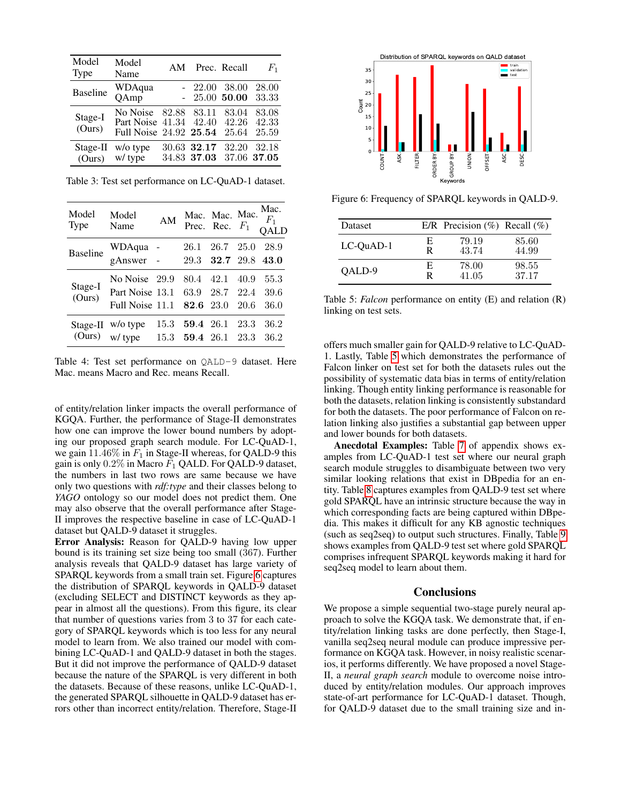<span id="page-6-0"></span>

| Model<br>Type     | Model<br>Name                                                            | AM | Prec. Recall               |                         | $F_1$                   |
|-------------------|--------------------------------------------------------------------------|----|----------------------------|-------------------------|-------------------------|
| <b>Baseline</b>   | WDAqua<br>QAmp                                                           |    | $-22.00$<br>$-25.00$ 50.00 | -38.00                  | 28.00<br>33.33          |
| Stage-I<br>(Ours) | No Noise<br>Part Noise 41.34 42.40 42.26<br>Full Noise 24.92 25.54 25.64 |    | 82.88 83.11                | 83.04                   | 83.08<br>42.33<br>25.59 |
| (Ours)            | Stage-II w/o type<br>w/ type                                             |    | 30.63 32.17 32.20          | 34.83 37.03 37.06 37.05 | 32.18                   |

Table 3: Test set performance on LC-QuAD-1 dataset.

<span id="page-6-1"></span>

| Model<br><b>Type</b> | Model<br>Name                                                 | AM           |                        |                        |              | Mac.<br>Mac. Mac. Mac. $\frac{Mac}{F_1}$<br>Prec. Rec. $F_1$ QALD |
|----------------------|---------------------------------------------------------------|--------------|------------------------|------------------------|--------------|-------------------------------------------------------------------|
| <b>Baseline</b>      | WDAqua<br>gAnswer -                                           |              | 26.1<br>29.3           | 26.7 25.0<br>32.7 29.8 |              | 28.9<br>43.0                                                      |
| Stage-I<br>(Ours)    | No Noise 29.9<br>Part Noise 13.1<br>Full Noise 11.1 82.6 23.0 |              | 80.4 42.1              | 63.9 28.7 22.4         | 40.9<br>20.6 | 55.3<br>39.6<br>36.0                                              |
|                      | Stage-II w/o type<br>(Ours) w/ type                           | 15.3<br>15.3 | 59.4 26.1<br>59.4 26.1 |                        | 23.3<br>23.3 | 36.2<br>36.2                                                      |

Table 4: Test set performance on QALD-9 dataset. Here Mac. means Macro and Rec. means Recall.

of entity/relation linker impacts the overall performance of KGQA. Further, the performance of Stage-II demonstrates how one can improve the lower bound numbers by adopting our proposed graph search module. For LC-QuAD-1, we gain  $11.46\%$  in  $F_1$  in Stage-II whereas, for QALD-9 this gain is only  $0.2\%$  in Macro  $F_1$  QALD. For QALD-9 dataset, the numbers in last two rows are same because we have only two questions with *rdf:type* and their classes belong to *YAGO* ontology so our model does not predict them. One may also observe that the overall performance after Stage-II improves the respective baseline in case of LC-QuAD-1 dataset but QALD-9 dataset it struggles.

Error Analysis: Reason for QALD-9 having low upper bound is its training set size being too small (367). Further analysis reveals that QALD-9 dataset has large variety of SPARQL keywords from a small train set. Figure [6](#page-6-2) captures the distribution of SPARQL keywords in QALD-9 dataset (excluding SELECT and DISTINCT keywords as they appear in almost all the questions). From this figure, its clear that number of questions varies from 3 to 37 for each category of SPARQL keywords which is too less for any neural model to learn from. We also trained our model with combining LC-QuAD-1 and QALD-9 dataset in both the stages. But it did not improve the performance of QALD-9 dataset because the nature of the SPARQL is very different in both the datasets. Because of these reasons, unlike LC-QuAD-1, the generated SPARQL silhouette in QALD-9 dataset has er-COurs) w/ by Pre 34.83 37.05 37.06 37.06 37.06<br>
Table 3: Test set performance on LC-QuAD-1 dataset.<br>
Model Model Model Model Model Model Model Model Model Model Model Model Model Model Model Model Model Model Model Model

<span id="page-6-2"></span>

Figure 6: Frequency of SPARQL keywords in QALD-9.

<span id="page-6-3"></span>

| <b>Dataset</b> |   | E/R Precision $(\%)$ Recall $(\%)$ |       |
|----------------|---|------------------------------------|-------|
| LC-OuAD-1      | E | 79.19                              | 85.60 |
|                | R | 43.74                              | 44.99 |
| OALD-9         | E | 78.00                              | 98.55 |
|                | R | 41.05                              | 37.17 |

Table 5: *Falcon* performance on entity (E) and relation (R) linking on test sets.

offers much smaller gain for QALD-9 relative to LC-QuAD-1. Lastly, Table [5](#page-6-3) which demonstrates the performance of Falcon linker on test set for both the datasets rules out the possibility of systematic data bias in terms of entity/relation linking. Though entity linking performance is reasonable for both the datasets, relation linking is consistently substandard for both the datasets. The poor performance of Falcon on relation linking also justifies a substantial gap between upper and lower bounds for both datasets.

Anecdotal Examples: Table [7](#page-11-0) of appendix shows examples from LC-QuAD-1 test set where our neural graph search module struggles to disambiguate between two very similar looking relations that exist in DBpedia for an entity. Table [8](#page-11-1) captures examples from QALD-9 test set where gold SPARQL have an intrinsic structure because the way in which corresponding facts are being captured within DBpedia. This makes it difficult for any KB agnostic techniques (such as seq2seq) to output such structures. Finally, Table [9](#page-12-0) shows examples from QALD-9 test set where gold SPARQL comprises infrequent SPARQL keywords making it hard for seq2seq model to learn about them.

### **Conclusions**

We propose a simple sequential two-stage purely neural approach to solve the KGQA task. We demonstrate that, if entity/relation linking tasks are done perfectly, then Stage-I, vanilla seq2seq neural module can produce impressive performance on KGQA task. However, in noisy realistic scenarios, it performs differently. We have proposed a novel Stage-II, a *neural graph search* module to overcome noise introduced by entity/relation modules. Our approach improves state-of-art performance for LC-QuAD-1 dataset. Though, for QALD-9 dataset due to the small training size and in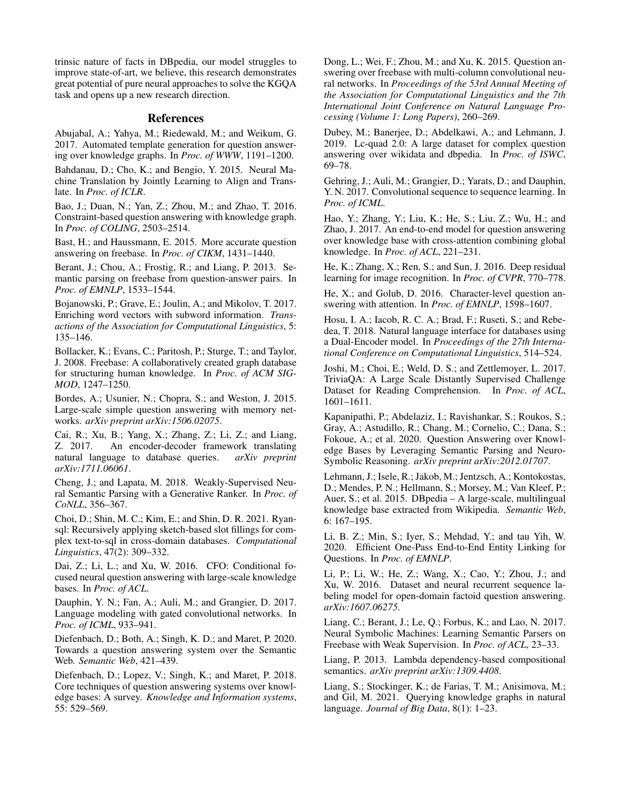trinsic nature of facts in DBpedia, our model struggles to improve state-of-art, we believe, this research demonstrates great potential of pure neural approaches to solve the KGQA task and opens up a new research direction.

# References

<span id="page-7-14"></span>Abujabal, A.; Yahya, M.; Riedewald, M.; and Weikum, G. 2017. Automated template generation for question answering over knowledge graphs. In *Proc. of WWW*, 1191–1200.

<span id="page-7-22"></span>Bahdanau, D.; Cho, K.; and Bengio, Y. 2015. Neural Machine Translation by Jointly Learning to Align and Translate. In *Proc. of ICLR*.

<span id="page-7-20"></span>Bao, J.; Duan, N.; Yan, Z.; Zhou, M.; and Zhao, T. 2016. Constraint-based question answering with knowledge graph. In *Proc. of COLING*, 2503–2514.

<span id="page-7-13"></span>Bast, H.; and Haussmann, E. 2015. More accurate question answering on freebase. In *Proc. of CIKM*, 1431–1440.

<span id="page-7-12"></span>Berant, J.; Chou, A.; Frostig, R.; and Liang, P. 2013. Semantic parsing on freebase from question-answer pairs. In *Proc. of EMNLP*, 1533–1544.

<span id="page-7-24"></span>Bojanowski, P.; Grave, E.; Joulin, A.; and Mikolov, T. 2017. Enriching word vectors with subword information. *Transactions of the Association for Computational Linguistics*, 5: 135–146.

<span id="page-7-1"></span>Bollacker, K.; Evans, C.; Paritosh, P.; Sturge, T.; and Taylor, J. 2008. Freebase: A collaboratively created graph database for structuring human knowledge. In *Proc. of ACM SIG-MOD*, 1247–1250.

<span id="page-7-19"></span>Bordes, A.; Usunier, N.; Chopra, S.; and Weston, J. 2015. Large-scale simple question answering with memory networks. *arXiv preprint arXiv:1506.02075*.

<span id="page-7-11"></span>Cai, R.; Xu, B.; Yang, X.; Zhang, Z.; Li, Z.; and Liang, Z. 2017. An encoder-decoder framework translating natural language to database queries. *arXiv preprint arXiv:1711.06061*.

<span id="page-7-10"></span>Cheng, J.; and Lapata, M. 2018. Weakly-Supervised Neural Semantic Parsing with a Generative Ranker. In *Proc. of CoNLL*, 356–367.

<span id="page-7-18"></span>Choi, D.; Shin, M. C.; Kim, E.; and Shin, D. R. 2021. Ryansql: Recursively applying sketch-based slot fillings for complex text-to-sql in cross-domain databases. *Computational Linguistics*, 47(2): 309–332.

<span id="page-7-8"></span>Dai, Z.; Li, L.; and Xu, W. 2016. CFO: Conditional focused neural question answering with large-scale knowledge bases. In *Proc. of ACL*.

<span id="page-7-26"></span>Dauphin, Y. N.; Fan, A.; Auli, M.; and Grangier, D. 2017. Language modeling with gated convolutional networks. In *Proc. of ICML*, 933–941.

<span id="page-7-29"></span>Diefenbach, D.; Both, A.; Singh, K. D.; and Maret, P. 2020. Towards a question answering system over the Semantic Web. *Semantic Web*, 421–439.

<span id="page-7-0"></span>Diefenbach, D.; Lopez, V.; Singh, K.; and Maret, P. 2018. Core techniques of question answering systems over knowledge bases: A survey. *Knowledge and Information systems*, 55: 529–569.

<span id="page-7-15"></span>Dong, L.; Wei, F.; Zhou, M.; and Xu, K. 2015. Question answering over freebase with multi-column convolutional neural networks. In *Proceedings of the 53rd Annual Meeting of the Association for Computational Linguistics and the 7th International Joint Conference on Natural Language Processing (Volume 1: Long Papers)*, 260–269.

<span id="page-7-21"></span>Dubey, M.; Banerjee, D.; Abdelkawi, A.; and Lehmann, J. 2019. Lc-quad 2.0: A large dataset for complex question answering over wikidata and dbpedia. In *Proc. of ISWC*, 69–78.

<span id="page-7-25"></span>Gehring, J.; Auli, M.; Grangier, D.; Yarats, D.; and Dauphin, Y. N. 2017. Convolutional sequence to sequence learning. In *Proc. of ICML*.

<span id="page-7-9"></span>Hao, Y.; Zhang, Y.; Liu, K.; He, S.; Liu, Z.; Wu, H.; and Zhao, J. 2017. An end-to-end model for question answering over knowledge base with cross-attention combining global knowledge. In *Proc. of ACL*, 221–231.

<span id="page-7-27"></span>He, K.; Zhang, X.; Ren, S.; and Sun, J. 2016. Deep residual learning for image recognition. In *Proc. of CVPR*, 770–778.

<span id="page-7-7"></span>He, X.; and Golub, D. 2016. Character-level question answering with attention. In *Proc. of EMNLP*, 1598–1607.

<span id="page-7-17"></span>Hosu, I. A.; Iacob, R. C. A.; Brad, F.; Ruseti, S.; and Rebedea, T. 2018. Natural language interface for databases using a Dual-Encoder model. In *Proceedings of the 27th International Conference on Computational Linguistics*, 514–524.

<span id="page-7-16"></span>Joshi, M.; Choi, E.; Weld, D. S.; and Zettlemoyer, L. 2017. TriviaQA: A Large Scale Distantly Supervised Challenge Dataset for Reading Comprehension. In *Proc. of ACL*, 1601–1611.

<span id="page-7-4"></span>Kapanipathi, P.; Abdelaziz, I.; Ravishankar, S.; Roukos, S.; Gray, A.; Astudillo, R.; Chang, M.; Cornelio, C.; Dana, S.; Fokoue, A.; et al. 2020. Question Answering over Knowledge Bases by Leveraging Semantic Parsing and Neuro-Symbolic Reasoning. *arXiv preprint arXiv:2012.01707*.

<span id="page-7-2"></span>Lehmann, J.; Isele, R.; Jakob, M.; Jentzsch, A.; Kontokostas, D.; Mendes, P. N.; Hellmann, S.; Morsey, M.; Van Kleef, P.; Auer, S.; et al. 2015. DBpedia – A large-scale, multilingual knowledge base extracted from Wikipedia. *Semantic Web*, 6: 167–195.

<span id="page-7-28"></span>Li, B. Z.; Min, S.; Iyer, S.; Mehdad, Y.; and tau Yih, W. 2020. Efficient One-Pass End-to-End Entity Linking for Questions. In *Proc. of EMNLP*.

<span id="page-7-6"></span>Li, P.; Li, W.; He, Z.; Wang, X.; Cao, Y.; Zhou, J.; and Xu, W. 2016. Dataset and neural recurrent sequence labeling model for open-domain factoid question answering. *arXiv:1607.06275*.

<span id="page-7-23"></span>Liang, C.; Berant, J.; Le, Q.; Forbus, K.; and Lao, N. 2017. Neural Symbolic Machines: Learning Semantic Parsers on Freebase with Weak Supervision. In *Proc. of ACL*, 23–33.

<span id="page-7-3"></span>Liang, P. 2013. Lambda dependency-based compositional semantics. *arXiv preprint arXiv:1309.4408*.

<span id="page-7-5"></span>Liang, S.; Stockinger, K.; de Farias, T. M.; Anisimova, M.; and Gil, M. 2021. Querying knowledge graphs in natural language. *Journal of Big Data*, 8(1): 1–23.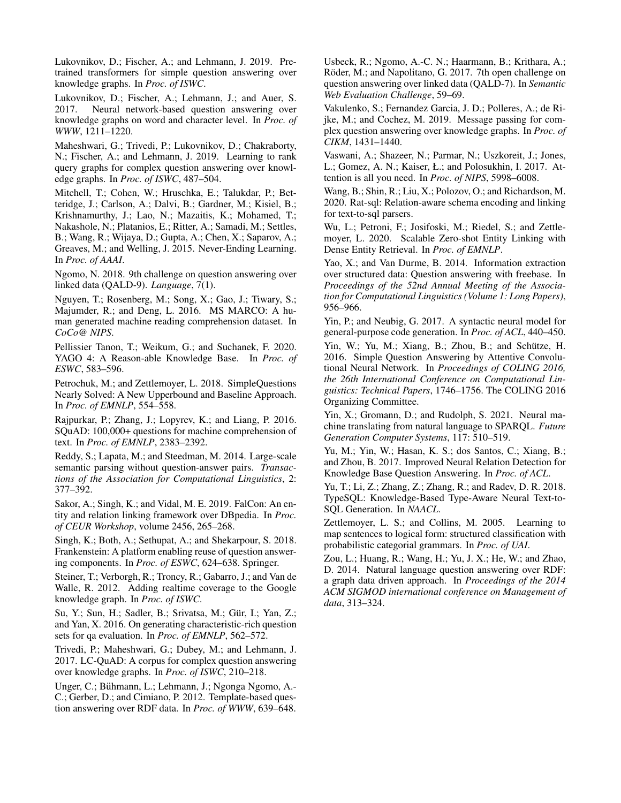<span id="page-8-7"></span>Lukovnikov, D.; Fischer, A.; and Lehmann, J. 2019. Pretrained transformers for simple question answering over knowledge graphs. In *Proc. of ISWC*.

<span id="page-8-8"></span>Lukovnikov, D.; Fischer, A.; Lehmann, J.; and Auer, S. 2017. Neural network-based question answering over knowledge graphs on word and character level. In *Proc. of WWW*, 1211–1220.

<span id="page-8-9"></span>Maheshwari, G.; Trivedi, P.; Lukovnikov, D.; Chakraborty, N.; Fischer, A.; and Lehmann, J. 2019. Learning to rank query graphs for complex question answering over knowledge graphs. In *Proc. of ISWC*, 487–504.

<span id="page-8-1"></span>Mitchell, T.; Cohen, W.; Hruschka, E.; Talukdar, P.; Betteridge, J.; Carlson, A.; Dalvi, B.; Gardner, M.; Kisiel, B.; Krishnamurthy, J.; Lao, N.; Mazaitis, K.; Mohamed, T.; Nakashole, N.; Platanios, E.; Ritter, A.; Samadi, M.; Settles, B.; Wang, R.; Wijaya, D.; Gupta, A.; Chen, X.; Saparov, A.; Greaves, M.; and Welling, J. 2015. Never-Ending Learning. In *Proc. of AAAI*.

<span id="page-8-25"></span>Ngomo, N. 2018. 9th challenge on question answering over linked data (QALD-9). *Language*, 7(1).

<span id="page-8-15"></span>Nguyen, T.; Rosenberg, M.; Song, X.; Gao, J.; Tiwary, S.; Majumder, R.; and Deng, L. 2016. MS MARCO: A human generated machine reading comprehension dataset. In *CoCo@ NIPS*.

<span id="page-8-0"></span>Pellissier Tanon, T.; Weikum, G.; and Suchanek, F. 2020. YAGO 4: A Reason-able Knowledge Base. In *Proc. of ESWC*, 583–596.

<span id="page-8-19"></span>Petrochuk, M.; and Zettlemoyer, L. 2018. SimpleQuestions Nearly Solved: A New Upperbound and Baseline Approach. In *Proc. of EMNLP*, 554–558.

<span id="page-8-16"></span>Rajpurkar, P.; Zhang, J.; Lopyrev, K.; and Liang, P. 2016. SQuAD: 100,000+ questions for machine comprehension of text. In *Proc. of EMNLP*, 2383–2392.

<span id="page-8-13"></span>Reddy, S.; Lapata, M.; and Steedman, M. 2014. Large-scale semantic parsing without question-answer pairs. *Transactions of the Association for Computational Linguistics*, 2: 377–392.

<span id="page-8-28"></span>Sakor, A.; Singh, K.; and Vidal, M. E. 2019. FalCon: An entity and relation linking framework over DBpedia. In *Proc. of CEUR Workshop*, volume 2456, 265–268.

<span id="page-8-4"></span>Singh, K.; Both, A.; Sethupat, A.; and Shekarpour, S. 2018. Frankenstein: A platform enabling reuse of question answering components. In *Proc. of ESWC*, 624–638. Springer.

<span id="page-8-2"></span>Steiner, T.; Verborgh, R.; Troncy, R.; Gabarro, J.; and Van de Walle, R. 2012. Adding realtime coverage to the Google knowledge graph. In *Proc. of ISWC*.

<span id="page-8-20"></span>Su, Y.; Sun, H.; Sadler, B.; Srivatsa, M.; Gür, I.; Yan, Z.; and Yan, X. 2016. On generating characteristic-rich question sets for qa evaluation. In *Proc. of EMNLP*, 562–572.

<span id="page-8-6"></span>Trivedi, P.; Maheshwari, G.; Dubey, M.; and Lehmann, J. 2017. LC-QuAD: A corpus for complex question answering over knowledge graphs. In *Proc. of ISWC*, 210–218.

<span id="page-8-12"></span>Unger, C.; Buhmann, L.; Lehmann, J.; Ngonga Ngomo, A.- ¨ C.; Gerber, D.; and Cimiano, P. 2012. Template-based question answering over RDF data. In *Proc. of WWW*, 639–648.

<span id="page-8-5"></span>Usbeck, R.; Ngomo, A.-C. N.; Haarmann, B.; Krithara, A.; Röder, M.; and Napolitano, G. 2017. 7th open challenge on question answering over linked data (QALD-7). In *Semantic Web Evaluation Challenge*, 59–69.

<span id="page-8-26"></span>Vakulenko, S.; Fernandez Garcia, J. D.; Polleres, A.; de Rijke, M.; and Cochez, M. 2019. Message passing for complex question answering over knowledge graphs. In *Proc. of CIKM*, 1431–1440.

<span id="page-8-21"></span>Vaswani, A.; Shazeer, N.; Parmar, N.; Uszkoreit, J.; Jones, L.; Gomez, A. N.; Kaiser, Ł.; and Polosukhin, I. 2017. Attention is all you need. In *Proc. of NIPS*, 5998–6008.

<span id="page-8-18"></span>Wang, B.; Shin, R.; Liu, X.; Polozov, O.; and Richardson, M. 2020. Rat-sql: Relation-aware schema encoding and linking for text-to-sql parsers.

<span id="page-8-24"></span>Wu, L.; Petroni, F.; Josifoski, M.; Riedel, S.; and Zettlemoyer, L. 2020. Scalable Zero-shot Entity Linking with Dense Entity Retrieval. In *Proc. of EMNLP*.

<span id="page-8-14"></span>Yao, X.; and Van Durme, B. 2014. Information extraction over structured data: Question answering with freebase. In *Proceedings of the 52nd Annual Meeting of the Association for Computational Linguistics (Volume 1: Long Papers)*, 956–966.

<span id="page-8-23"></span>Yin, P.; and Neubig, G. 2017. A syntactic neural model for general-purpose code generation. In *Proc. of ACL*, 440–450.

<span id="page-8-22"></span>Yin, W.; Yu, M.; Xiang, B.; Zhou, B.; and Schütze, H. 2016. Simple Question Answering by Attentive Convolutional Neural Network. In *Proceedings of COLING 2016, the 26th International Conference on Computational Linguistics: Technical Papers*, 1746–1756. The COLING 2016 Organizing Committee.

<span id="page-8-11"></span>Yin, X.; Gromann, D.; and Rudolph, S. 2021. Neural machine translating from natural language to SPARQL. *Future Generation Computer Systems*, 117: 510–519.

<span id="page-8-10"></span>Yu, M.; Yin, W.; Hasan, K. S.; dos Santos, C.; Xiang, B.; and Zhou, B. 2017. Improved Neural Relation Detection for Knowledge Base Question Answering. In *Proc. of ACL*.

<span id="page-8-17"></span>Yu, T.; Li, Z.; Zhang, Z.; Zhang, R.; and Radev, D. R. 2018. TypeSQL: Knowledge-Based Type-Aware Neural Text-to-SQL Generation. In *NAACL*.

<span id="page-8-3"></span>Zettlemoyer, L. S.; and Collins, M. 2005. Learning to map sentences to logical form: structured classification with probabilistic categorial grammars. In *Proc. of UAI*.

<span id="page-8-27"></span>Zou, L.; Huang, R.; Wang, H.; Yu, J. X.; He, W.; and Zhao, D. 2014. Natural language question answering over RDF: a graph data driven approach. In *Proceedings of the 2014 ACM SIGMOD international conference on Management of data*, 313–324.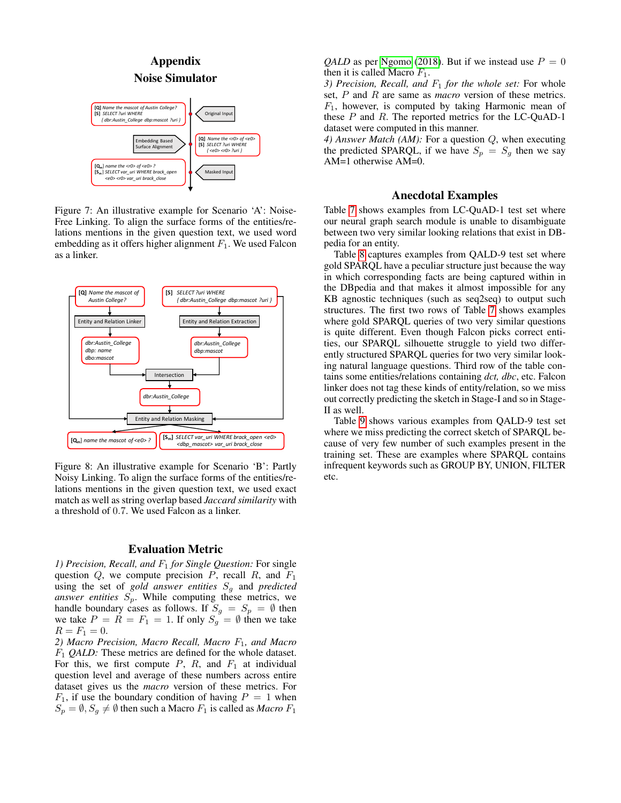<span id="page-9-0"></span>

Figure 7: An illustrative example for Scenario 'A': Noise-Free Linking. To align the surface forms of the entities/relations mentions in the given question text, we used word embedding as it offers higher alignment  $F_1$ . We used Falcon as a linker.

<span id="page-9-1"></span>

Figure 8: An illustrative example for Scenario 'B': Partly Noisy Linking. To align the surface forms of the entities/relations mentions in the given question text, we used exact match as well as string overlap based *Jaccard similarity* with a threshold of 0.7. We used Falcon as a linker.

### Evaluation Metric

*1) Precision, Recall, and*  $F_1$  *for Single Question: For single* question  $Q$ , we compute precision  $P$ , recall  $R$ , and  $F_1$ using the set of *gold answer entities*  $S_q$  and *predicted answer entities*  $S_p$ . While computing these metrics, we handle boundary cases as follows. If  $S_g = S_p = \emptyset$  then we take  $P = R = F_1 = 1$ . If only  $S_g = \emptyset$  then we take  $R = F_1 = 0.$ 

*2) Macro Precision, Macro Recall, Macro* F1*, and Macro* F<sup>1</sup> *QALD:* These metrics are defined for the whole dataset. For this, we first compute  $P$ ,  $R$ , and  $F_1$  at individual question level and average of these numbers across entire dataset gives us the *macro* version of these metrics. For  $F_1$ , if use the boundary condition of having  $P = 1$  when  $S_p = \emptyset$ ,  $S_q \neq \emptyset$  then such a Macro  $F_1$  is called as *Macro*  $F_1$ 

*QALD* as per [Ngomo](#page-8-25) [\(2018\)](#page-8-25). But if we instead use  $P = 0$ then it is called Macro  $F_1$ .

*3) Precision, Recall, and*  $F_1$  *for the whole set:* For whole set, P and R are same as *macro* version of these metrics.  $F_1$ , however, is computed by taking Harmonic mean of these  $P$  and  $R$ . The reported metrics for the LC-QuAD-1 dataset were computed in this manner.

*4) Answer Match (AM):* For a question Q, when executing the predicted SPARQL, if we have  $S_p = S_q$  then we say AM=1 otherwise AM=0.

# Anecdotal Examples

Table [7](#page-11-0) shows examples from LC-QuAD-1 test set where our neural graph search module is unable to disambiguate between two very similar looking relations that exist in DBpedia for an entity.

Table [8](#page-11-1) captures examples from QALD-9 test set where gold SPARQL have a peculiar structure just because the way in which corresponding facts are being captured within in the DBpedia and that makes it almost impossible for any KB agnostic techniques (such as seq2seq) to output such structures. The first two rows of Table [7](#page-11-0) shows examples where gold SPARQL queries of two very similar questions is quite different. Even though Falcon picks correct entities, our SPARQL silhouette struggle to yield two differently structured SPARQL queries for two very similar looking natural language questions. Third row of the table contains some entities/relations containing *dct, dbc*, etc. Falcon linker does not tag these kinds of entity/relation, so we miss out correctly predicting the sketch in Stage-I and so in Stage-II as well.

Table [9](#page-12-0) shows various examples from QALD-9 test set where we miss predicting the correct sketch of SPARQL because of very few number of such examples present in the training set. These are examples where SPARQL contains infrequent keywords such as GROUP BY, UNION, FILTER etc.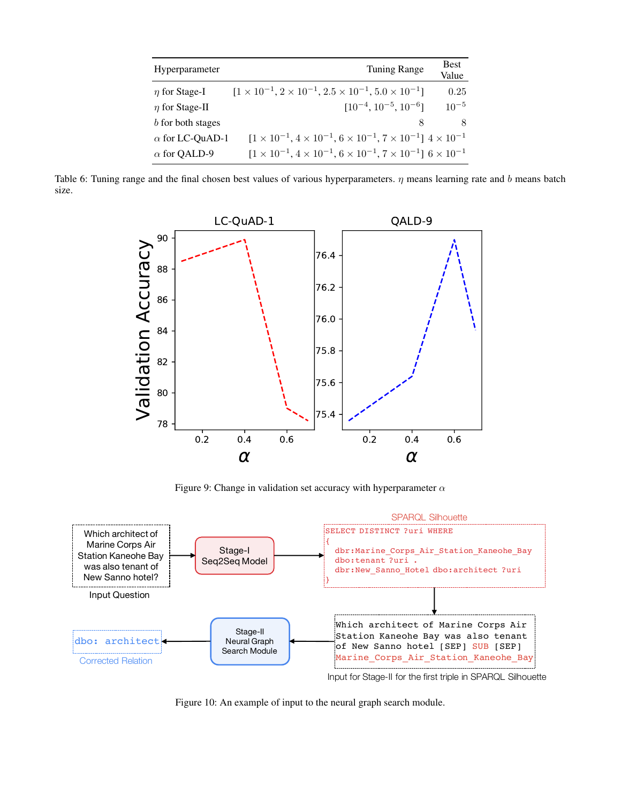<span id="page-10-1"></span>

| Hyperparameter         | <b>Tuning Range</b>                                                                           | <b>Best</b><br>Value |
|------------------------|-----------------------------------------------------------------------------------------------|----------------------|
| $\eta$ for Stage-I     | $[1 \times 10^{-1}, 2 \times 10^{-1}, 2.5 \times 10^{-1}, 5.0 \times 10^{-1}]$                | 0.25                 |
| $\eta$ for Stage-II    | $[10^{-4}, 10^{-5}, 10^{-6}]$                                                                 | $10^{-5}$            |
| b for both stages      |                                                                                               | 8                    |
| $\alpha$ for LC-QuAD-1 | $[1 \times 10^{-1}, 4 \times 10^{-1}, 6 \times 10^{-1}, 7 \times 10^{-1}]$ $4 \times 10^{-1}$ |                      |
| $\alpha$ for QALD-9    | $[1 \times 10^{-1}, 4 \times 10^{-1}, 6 \times 10^{-1}, 7 \times 10^{-1}]$ $6 \times 10^{-1}$ |                      |

<span id="page-10-2"></span>Table 6: Tuning range and the final chosen best values of various hyperparameters.  $\eta$  means learning rate and b means batch size.



Figure 9: Change in validation set accuracy with hyperparameter  $\alpha$ 

<span id="page-10-0"></span>

Figure 10: An example of input to the neural graph search module.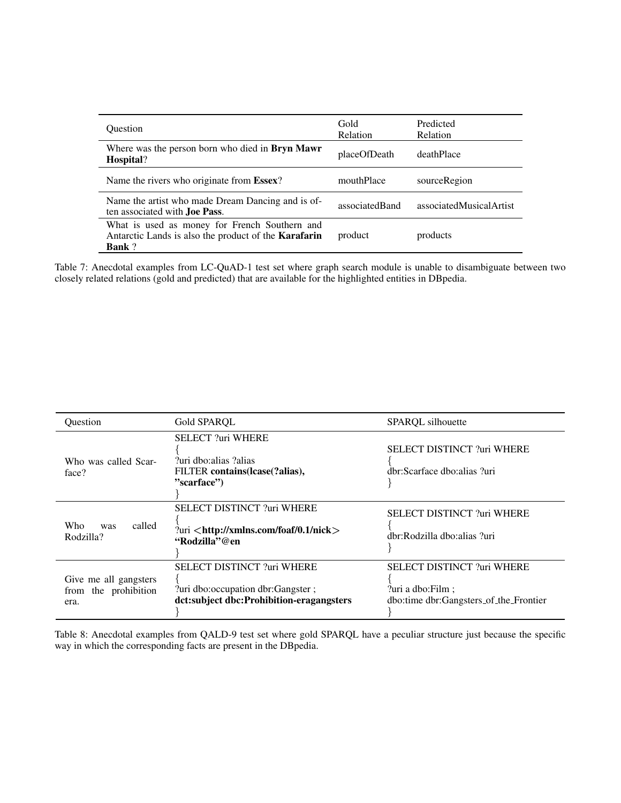<span id="page-11-0"></span>

| <b>Ouestion</b>                                                                                                               | Gold<br><b>Relation</b> | Predicted<br><b>Relation</b> |
|-------------------------------------------------------------------------------------------------------------------------------|-------------------------|------------------------------|
| Where was the person born who died in <b>Bryn Mawr</b><br>Hospital?                                                           | placeOfDeath            | deathPlace                   |
| Name the rivers who originate from Essex?                                                                                     | mouthPlace              | sourceRegion                 |
| Name the artist who made Dream Dancing and is of-<br>ten associated with <b>Joe Pass</b> .                                    | associatedBand          | associatedMusicalArtist      |
| What is used as money for French Southern and<br>Antarctic Lands is also the product of the <b>Karafarin</b><br><b>Bank</b> ? | product                 | products                     |

Table 7: Anecdotal examples from LC-QuAD-1 test set where graph search module is unable to disambiguate between two closely related relations (gold and predicted) that are available for the highlighted entities in DBpedia.

<span id="page-11-1"></span>

| Ouestion                                              | Gold SPARQL                                                                                                           | SPARQL silhouette                                                                                 |
|-------------------------------------------------------|-----------------------------------------------------------------------------------------------------------------------|---------------------------------------------------------------------------------------------------|
| Who was called Scar-<br>face?                         | <b>SELECT ?uri WHERE</b><br>?uri dbo:alias ?alias<br>FILTER contains (lcase (?alias),<br>"scarface")                  | <b>SELECT DISTINCT ?uri WHERE</b><br>dbr:Scarface dbo:alias ?uri                                  |
| <b>Who</b><br>called<br>was<br>Rodzilla?              | <b>SELECT DISTINCT ?uri WHERE</b><br>?uri $\lt$ http://xmlns.com/foaf/0.1/nick $>$<br>"Rodzilla"@en                   | <b>SELECT DISTINCT ?uri WHERE</b><br>dbr:Rodzilla dbo:alias ?uri                                  |
| Give me all gangsters<br>from the prohibition<br>era. | <b>SELECT DISTINCT ?uri WHERE</b><br>?uri dbo: occupation dbr: Gangster ;<br>dct:subject dbc:Prohibition-eragangsters | <b>SELECT DISTINCT ?uri WHERE</b><br>?uri a dbo: Film ;<br>dbo:time dbr:Gangsters_of_the_Frontier |

Table 8: Anecdotal examples from QALD-9 test set where gold SPARQL have a peculiar structure just because the specific way in which the corresponding facts are present in the DBpedia.